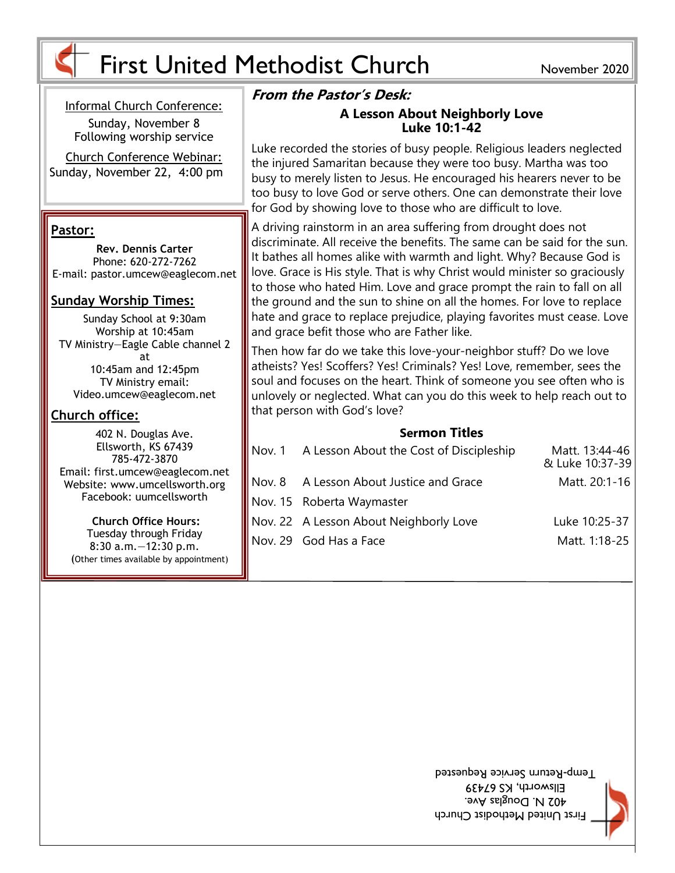

# First United Methodist Church November 2020

Informal Church Conference:

Sunday, November 8 Following worship service

Church Conference Webinar: Sunday, November 22, 4:00 pm

#### **Pastor:**

**Rev. Dennis Carter** Phone: 620-272-7262 E-mail: pastor.umcew@eaglecom.net

#### **Sunday Worship Times:**

Sunday School at 9:30am Worship at 10:45am TV Ministry—Eagle Cable channel 2 at 10:45am and 12:45pm TV Ministry email: Video.umcew@eaglecom.net

#### **Church office:**

402 N. Douglas Ave. Ellsworth, KS 67439 785-472-3870 Email: first.umcew@eaglecom.net Website: www.umcellsworth.org Facebook: uumcellsworth

**Church Office Hours:** Tuesday through Friday 8:30 a.m.—12:30 p.m. (Other times available by appointment)

**From the Pastor's Desk:**

#### **A Lesson About Neighborly Love Luke 10:1-42**

Luke recorded the stories of busy people. Religious leaders neglected the injured Samaritan because they were too busy. Martha was too busy to merely listen to Jesus. He encouraged his hearers never to be too busy to love God or serve others. One can demonstrate their love for God by showing love to those who are difficult to love.

A driving rainstorm in an area suffering from drought does not discriminate. All receive the benefits. The same can be said for the sun. It bathes all homes alike with warmth and light. Why? Because God is love. Grace is His style. That is why Christ would minister so graciously to those who hated Him. Love and grace prompt the rain to fall on all the ground and the sun to shine on all the homes. For love to replace hate and grace to replace prejudice, playing favorites must cease. Love and grace befit those who are Father like.

Then how far do we take this love-your-neighbor stuff? Do we love atheists? Yes! Scoffers? Yes! Criminals? Yes! Love, remember, sees the soul and focuses on the heart. Think of someone you see often who is unlovely or neglected. What can you do this week to help reach out to that person with God's love?

#### **Sermon Titles**

| Nov. 1 A Lesson About the Cost of Discipleship | Matt. 13:44-46<br>& Luke 10:37-39 |
|------------------------------------------------|-----------------------------------|
| Nov. 8 A Lesson About Justice and Grace        | Matt. 20:1-16                     |
| Nov. 15 Roberta Waymaster                      |                                   |
| Nov. 22 A Lesson About Neighborly Love         | Luke 10:25-37                     |
| Nov. 29 God Has a Face                         | Matt. 1:18-25                     |

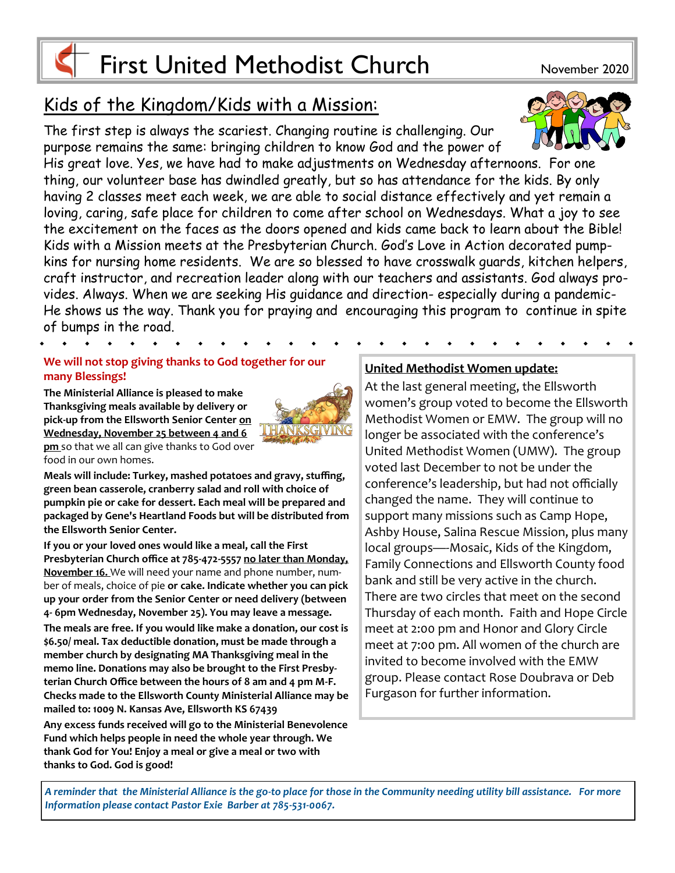# First United Methodist Church November 2020

# Kids of the Kingdom/Kids with a Mission:

The first step is always the scariest. Changing routine is challenging. Our purpose remains the same: bringing children to know God and the power of

His great love. Yes, we have had to make adjustments on Wednesday afternoons. For one thing, our volunteer base has dwindled greatly, but so has attendance for the kids. By only having 2 classes meet each week, we are able to social distance effectively and yet remain a loving, caring, safe place for children to come after school on Wednesdays. What a joy to see the excitement on the faces as the doors opened and kids came back to learn about the Bible! Kids with a Mission meets at the Presbyterian Church. God's Love in Action decorated pumpkins for nursing home residents. We are so blessed to have crosswalk guards, kitchen helpers, craft instructor, and recreation leader along with our teachers and assistants. God always provides. Always. When we are seeking His guidance and direction- especially during a pandemic-He shows us the way. Thank you for praying and encouraging this program to continue in spite of bumps in the road.

#### **We will not stop giving thanks to God together for our many Blessings!**

**The Ministerial Alliance is pleased to make Thanksgiving meals available by delivery or pick-up from the Ellsworth Senior Center on Wednesday, November 25 between 4 and 6** 

**pm** so that we all can give thanks to God over food in our own homes.

**Meals will include: Turkey, mashed potatoes and gravy, stuffing, green bean casserole, cranberry salad and roll with choice of pumpkin pie or cake for dessert. Each meal will be prepared and packaged by Gene's Heartland Foods but will be distributed from the Ellsworth Senior Center.**

**If you or your loved ones would like a meal, call the First Presbyterian Church office at 785-472-5557 no later than Monday, November 16.** We will need your name and phone number, number of meals, choice of pie **or cake. Indicate whether you can pick up your order from the Senior Center or need delivery (between 4- 6pm Wednesday, November 25). You may leave a message. The meals are free. If you would like make a donation, our cost is \$6.50/ meal. Tax deductible donation, must be made through a member church by designating MA Thanksgiving meal in the memo line. Donations may also be brought to the First Presbyterian Church Office between the hours of 8 am and 4 pm M-F. Checks made to the Ellsworth County Ministerial Alliance may be mailed to: 1009 N. Kansas Ave, Ellsworth KS 67439**

**Any excess funds received will go to the Ministerial Benevolence Fund which helps people in need the whole year through. We thank God for You! Enjoy a meal or give a meal or two with thanks to God. God is good!**

#### **United Methodist Women update:**

At the last general meeting, the Ellsworth women's group voted to become the Ellsworth Methodist Women or EMW. The group will no longer be associated with the conference's United Methodist Women (UMW). The group voted last December to not be under the conference's leadership, but had not officially changed the name. They will continue to support many missions such as Camp Hope, Ashby House, Salina Rescue Mission, plus many local groups—-Mosaic, Kids of the Kingdom, Family Connections and Ellsworth County food bank and still be very active in the church. There are two circles that meet on the second Thursday of each month. Faith and Hope Circle meet at 2:00 pm and Honor and Glory Circle meet at 7:00 pm. All women of the church are invited to become involved with the EMW group. Please contact Rose Doubrava or Deb Furgason for further information.





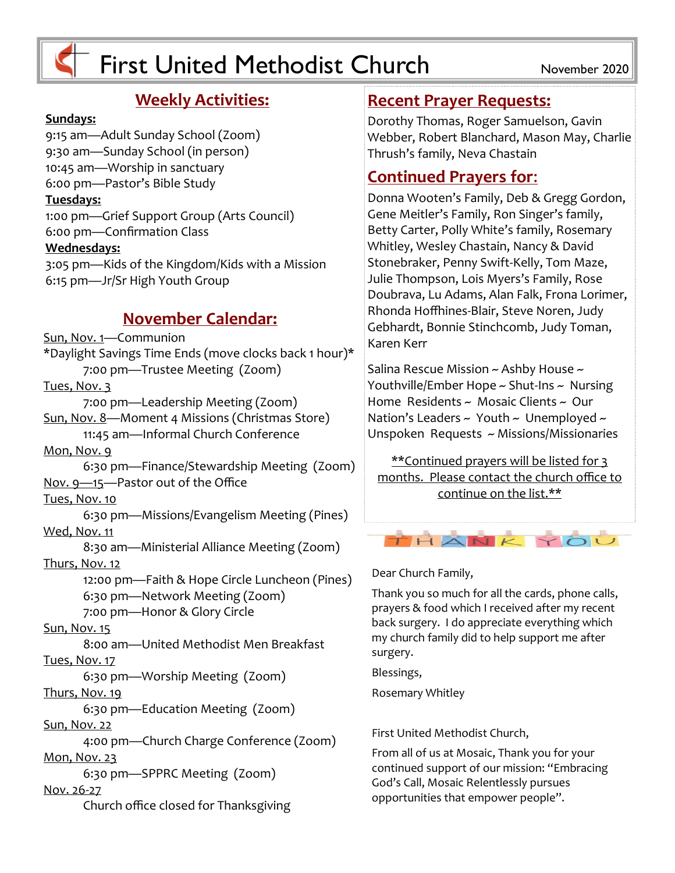# $\overline{I}$  First United Methodist Church  $N_{\text{Ovember 2020}}$

# **Weekly Activities:**

#### **Sundays:**

9:15 am—Adult Sunday School (Zoom) 9:30 am—Sunday School (in person) 10:45 am—Worship in sanctuary 6:00 pm—Pastor's Bible Study **Tuesdays:**

1:00 pm—Grief Support Group (Arts Council) 6:00 pm—Confirmation Class

#### **Wednesdays:**

3:05 pm—Kids of the Kingdom/Kids with a Mission 6:15 pm—Jr/Sr High Youth Group

### **November Calendar:**

#### Sun, Nov. 1—Communion

\*Daylight Savings Time Ends (move clocks back 1 hour)\* 7:00 pm—Trustee Meeting (Zoom)

Tues, Nov. 3

7:00 pm—Leadership Meeting (Zoom)

Sun, Nov. 8—Moment 4 Missions (Christmas Store) 11:45 am—Informal Church Conference

Mon, Nov. 9

6:30 pm—Finance/Stewardship Meeting (Zoom) Nov. 9—15—Pastor out of the Office

Tues, Nov. 10

6:30 pm—Missions/Evangelism Meeting (Pines) Wed, Nov. 11

8:30 am—Ministerial Alliance Meeting (Zoom) Thurs, Nov. 12

> 12:00 pm—Faith & Hope Circle Luncheon (Pines) 6:30 pm—Network Meeting (Zoom)

7:00 pm—Honor & Glory Circle

Sun, Nov. 15

8:00 am—United Methodist Men Breakfast

Tues, Nov. 17

6:30 pm—Worship Meeting (Zoom)

Thurs, Nov. 19

6:30 pm—Education Meeting (Zoom)

Sun, Nov. 22

4:00 pm—Church Charge Conference (Zoom) Mon, Nov. 23

6:30 pm—SPPRC Meeting (Zoom)

Nov. 26-27

Church office closed for Thanksgiving

#### **Recent Prayer Requests:**

Dorothy Thomas, Roger Samuelson, Gavin Webber, Robert Blanchard, Mason May, Charlie Thrush's family, Neva Chastain

# **Continued Prayers for**:

Donna Wooten's Family, Deb & Gregg Gordon, Gene Meitler's Family, Ron Singer's family, Betty Carter, Polly White's family, Rosemary Whitley, Wesley Chastain, Nancy & David Stonebraker, Penny Swift-Kelly, Tom Maze, Julie Thompson, Lois Myers's Family, Rose Doubrava, Lu Adams, Alan Falk, Frona Lorimer, Rhonda Hoffhines-Blair, Steve Noren, Judy Gebhardt, Bonnie Stinchcomb, Judy Toman, Karen Kerr

Salina Rescue Mission  $\sim$  Ashby House  $\sim$ Youthville/Ember Hope ~ Shut-Ins ~ Nursing Home Residents ~ Mosaic Clients ~ Our Nation's Leaders  $\sim$  Youth  $\sim$  Unemployed  $\sim$ Unspoken Requests ~ Missions/Missionaries

\*\*Continued prayers will be listed for 3 months. Please contact the church office to continue on the list.\*\*



Dear Church Family,

Thank you so much for all the cards, phone calls, prayers & food which I received after my recent back surgery. I do appreciate everything which my church family did to help support me after surgery.

Blessings,

Rosemary Whitley

First United Methodist Church,

From all of us at Mosaic, Thank you for your continued support of our mission: "Embracing God's Call, Mosaic Relentlessly pursues opportunities that empower people".